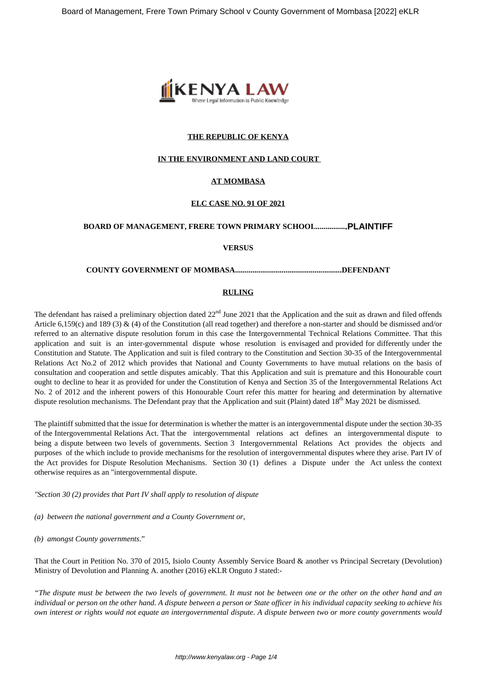

## **THE REPUBLIC OF KENYA**

#### **IN THE ENVIRONMENT AND LAND COURT**

## **AT MOMBASA**

#### **ELC CASE NO. 91 OF 2021**

## **BOARD OF MANAGEMENT, FRERE TOWN PRIMARY SCHOOL................PLAINTIFF**

#### **VERSUS**

#### **COUNTY GOVERNMENT OF MOMBASA.......................................................DEFENDANT**

#### **RULING**

The defendant has raised a preliminary objection dated  $22<sup>nd</sup>$  June 2021 that the Application and the suit as drawn and filed offends Article 6,159(c) and 189 (3) & (4) of the Constitution (all read together) and therefore a non-starter and should be dismissed and/or referred to an alternative dispute resolution forum in this case the Intergovernmental Technical Relations Committee. That this application and suit is an inter-governmental dispute whose resolution is envisaged and provided for differently under the Constitution and Statute. The Application and suit is filed contrary to the Constitution and Section 30-35 of the Intergovernmental Relations Act No.2 of 2012 which provides that National and County Governments to have mutual relations on the basis of consultation and cooperation and settle disputes amicably. That this Application and suit is premature and this Honourable court ought to decline to hear it as provided for under the Constitution of Kenya and Section 35 of the Intergovernmental Relations Act No. 2 of 2012 and the inherent powers of this Honourable Court refer this matter for hearing and determination by alternative dispute resolution mechanisms. The Defendant pray that the Application and suit (Plaint) dated  $18<sup>th</sup>$  May 2021 be dismissed.

The plaintiff submitted that the issue for determination is whether the matter is an intergovernmental dispute under the section 30-35 of the Intergovernmental Relations Act. That the intergovernmental relations act defines an intergovernmental dispute to being a dispute between two levels of governments. Section 3 Intergovernmental Relations Act provides the objects and purposes of the which include to provide mechanisms for the resolution of intergovernmental disputes where they arise. Part IV of the Act provides for Dispute Resolution Mechanisms. Section 30 (1) defines a Dispute under the Act unless the context otherwise requires as an "intergovernmental dispute.

*"Section 30 (2) provides that Part IV shall apply to resolution of dispute*

*(a) between the national government and a County Government or,*

*(b) amongst County governments*."

That the Court in Petition No. 370 of 2015, Isiolo County Assembly Service Board & another vs Principal Secretary (Devolution) Ministry of Devolution and Planning A. another (2016) eKLR Onguto J stated:-

*"The dispute must be between the two levels of government. It must not be between one or the other on the other hand and an individual or person on the other hand. A dispute between a person or State officer in his individual capacity seeking to achieve his own interest or rights would not equate an intergovernmental dispute. A dispute between two or more county governments would*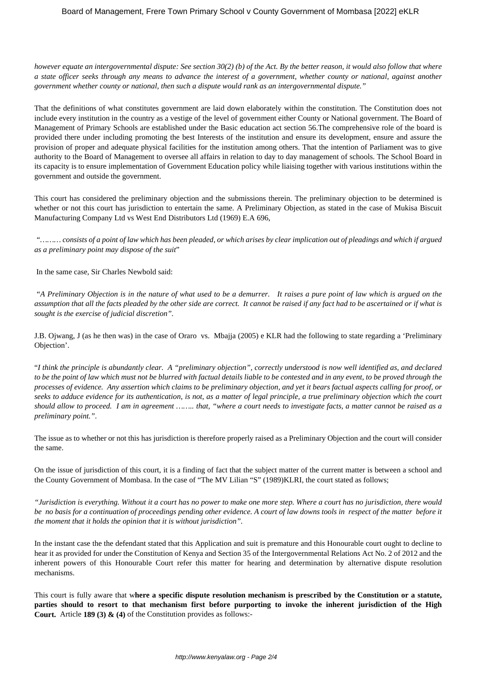*however equate an intergovernmental dispute: See section 30(2) (b) of the Act. By the better reason, it would also follow that where a state officer seeks through any means to advance the interest of a government, whether county or national, against another government whether county or national, then such a dispute would rank as an intergovernmental dispute."*

That the definitions of what constitutes government are laid down elaborately within the constitution. The Constitution does not include every institution in the country as a vestige of the level of government either County or National government. The Board of Management of Primary Schools are established under the Basic education act section 56.The comprehensive role of the board is provided there under including promoting the best Interests of the institution and ensure its development, ensure and assure the provision of proper and adequate physical facilities for the institution among others. That the intention of Parliament was to give authority to the Board of Management to oversee all affairs in relation to day to day management of schools. The School Board in its capacity is to ensure implementation of Government Education policy while liaising together with various institutions within the government and outside the government.

This court has considered the preliminary objection and the submissions therein. The preliminary objection to be determined is whether or not this court has jurisdiction to entertain the same. A Preliminary Objection, as stated in the case of Mukisa Biscuit Manufacturing Company Ltd vs West End Distributors Ltd (1969) E.A 696,

*"……… consists of a point of law which has been pleaded, or which arises by clear implication out of pleadings and which if argued as a preliminary point may dispose of the suit*"

In the same case, Sir Charles Newbold said:

"*A Preliminary Objection is in the nature of what used to be a demurrer. It raises a pure point of law which is argued on the assumption that all the facts pleaded by the other side are correct. It cannot be raised if any fact had to be ascertained or if what is sought is the exercise of judicial discretion".*

J.B. Ojwang, J (as he then was) in the case of Oraro vs. Mbajja (2005) e KLR had the following to state regarding a 'Preliminary Objection'.

"*I think the principle is abundantly clear. A "preliminary objection", correctly understood is now well identified as, and declared to be the point of law which must not be blurred with factual details liable to be contested and in any event, to be proved through the processes of evidence. Any assertion which claims to be preliminary objection, and yet it bears factual aspects calling for proof, or seeks to adduce evidence for its authentication, is not, as a matter of legal principle, a true preliminary objection which the court should allow to proceed. I am in agreement …….. that, "where a court needs to investigate facts, a matter cannot be raised as a preliminary point.".*

The issue as to whether or not this has jurisdiction is therefore properly raised as a Preliminary Objection and the court will consider the same.

On the issue of jurisdiction of this court, it is a finding of fact that the subject matter of the current matter is between a school and the County Government of Mombasa. In the case of "The MV Lilian "S" (1989)KLRI, the court stated as follows;

*"Jurisdiction is everything. Without it a court has no power to make one more step. Where a court has no jurisdiction, there would be no basis for a continuation of proceedings pending other evidence. A court of law downs tools in respect of the matter before it the moment that it holds the opinion that it is without jurisdiction".*

In the instant case the the defendant stated that this Application and suit is premature and this Honourable court ought to decline to hear it as provided for under the Constitution of Kenya and Section 35 of the Intergovernmental Relations Act No. 2 of 2012 and the inherent powers of this Honourable Court refer this matter for hearing and determination by alternative dispute resolution mechanisms.

This court is fully aware that w**here a specific dispute resolution mechanism is prescribed by the Constitution or a statute, parties should to resort to that mechanism first before purporting to invoke the inherent jurisdiction of the High Court.** Article **189 (3) & (4)** of the Constitution provides as follows:-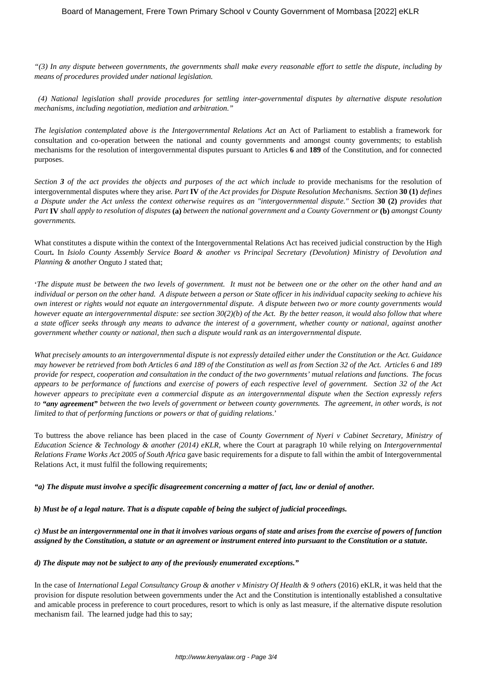*"(3) In any dispute between governments, the governments shall make every reasonable effort to settle the dispute, including by means of procedures provided under national legislation.*

*(4) National legislation shall provide procedures for settling inter-governmental disputes by alternative dispute resolution mechanisms, including negotiation, mediation and arbitration."*

*The legislation contemplated above is the Intergovernmental Relations Act a*n Act of Parliament to establish a framework for consultation and co-operation between the national and county governments and amongst county governments; to establish mechanisms for the resolution of intergovernmental disputes pursuant to Articles **6** and **189** of the Constitution, and for connected purposes.

*Section 3 of the act provides the objects and purposes of the act which include to* provide mechanisms for the resolution of intergovernmental disputes where they arise*. Part* **IV** *of the Act provides for Dispute Resolution Mechanisms. Section* **30 (1)** *defines a Dispute under the Act unless the context otherwise requires as an "intergovernmental dispute." Section* **30 (2)** *provides that Part* **IV** *shall apply to resolution of disputes* **(a)** *between the national government and a County Government or* **(b)** *amongst County governments.*

What constitutes a dispute within the context of the Intergovernmental Relations Act has received judicial construction by the High Court**.** In *Isiolo County Assembly Service Board & another vs Principal Secretary (Devolution) Ministry of Devolution and Planning & another* Onguto J stated that;

'*The dispute must be between the two levels of government. It must not be between one or the other on the other hand and an individual or person on the other hand. A dispute between a person or State officer in his individual capacity seeking to achieve his own interest or rights would not equate an intergovernmental dispute. A dispute between two or more county governments would however equate an intergovernmental dispute: see section 30(2)(b) of the Act. By the better reason, it would also follow that where a state officer seeks through any means to advance the interest of a government, whether county or national, against another government whether county or national, then such a dispute would rank as an intergovernmental dispute.*

*What precisely amounts to an intergovernmental dispute is not expressly detailed either under the Constitution or the Act. Guidance may however be retrieved from both Articles 6 and 189 of the Constitution as well as from Section 32 of the Act. Articles 6 and 189 provide for respect, cooperation and consultation in the conduct of the two governments' mutual relations and functions. The focus appears to be performance of functions and exercise of powers of each respective level of government. Section 32 of the Act however appears to precipitate even a commercial dispute as an intergovernmental dispute when the Section expressly refers to "any agreement" between the two levels of government or between county governments. The agreement, in other words, is not limited to that of performing functions or powers or that of guiding relations*.'

To buttress the above reliance has been placed in the case of *County Government of Nyeri v Cabinet Secretary, Ministry of Education Science & Technology & another (2014) eKLR,* where the Court at paragraph 10 while relying on *Intergovernmental Relations Frame Works Act 2005 of South Africa* gave basic requirements for a dispute to fall within the ambit of Intergovernmental Relations Act, it must fulfil the following requirements;

*"a) The dispute must involve a specific disagreement concerning a matter of fact, law or denial of another.*

*b) Must be of a legal nature. That is a dispute capable of being the subject of judicial proceedings.*

*c) Must be an intergovernmental one in that it involves various organs of state and arises from the exercise of powers of function assigned by the Constitution, a statute or an agreement or instrument entered into pursuant to the Constitution or a statute.*

*d) The dispute may not be subject to any of the previously enumerated exceptions."*

In the case of *International Legal Consultancy Group & another v Ministry Of Health & 9 others* (2016) eKLR, it was held that the provision for dispute resolution between governments under the Act and the Constitution is intentionally established a consultative and amicable process in preference to court procedures, resort to which is only as last measure, if the alternative dispute resolution mechanism fail. The learned judge had this to say;